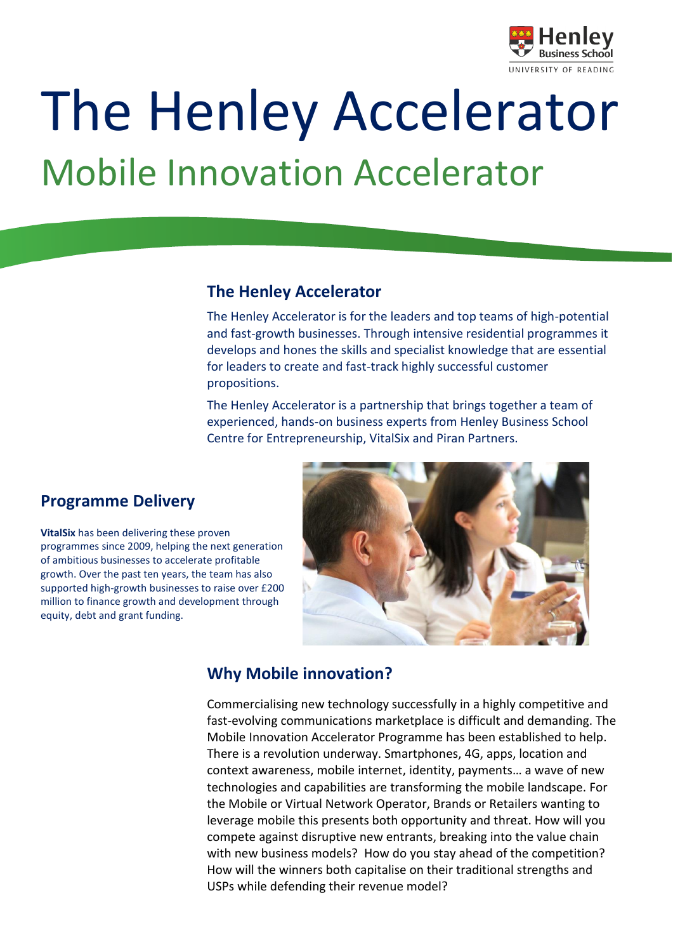

# The Henley Accelerator

# Mobile Innovation Accelerator

#### **The Henley Accelerator**

The Henley Accelerator is for the leaders and top teams of high-potential and fast-growth businesses. Through intensive residential programmes it develops and hones the skills and specialist knowledge that are essential for leaders to create and fast-track highly successful customer propositions.

The Henley Accelerator is a partnership that brings together a team of experienced, hands-on business experts from Henley Business School Centre for Entrepreneurship, VitalSix and Piran Partners.

## **Programme Delivery**

**VitalSix** has been delivering these proven programmes since 2009, helping the next generation of ambitious businesses to accelerate profitable growth. Over the past ten years, the team has also supported high-growth businesses to raise over £200 million to finance growth and development through equity, debt and grant funding.



## **Why Mobile innovation?**

Commercialising new technology successfully in a highly competitive and fast-evolving communications marketplace is difficult and demanding. The Mobile Innovation Accelerator Programme has been established to help. There is a revolution underway. Smartphones, 4G, apps, location and context awareness, mobile internet, identity, payments… a wave of new technologies and capabilities are transforming the mobile landscape. For the Mobile or Virtual Network Operator, Brands or Retailers wanting to leverage mobile this presents both opportunity and threat. How will you compete against disruptive new entrants, breaking into the value chain with new business models? How do you stay ahead of the competition? How will the winners both capitalise on their traditional strengths and USPs while defending their revenue model?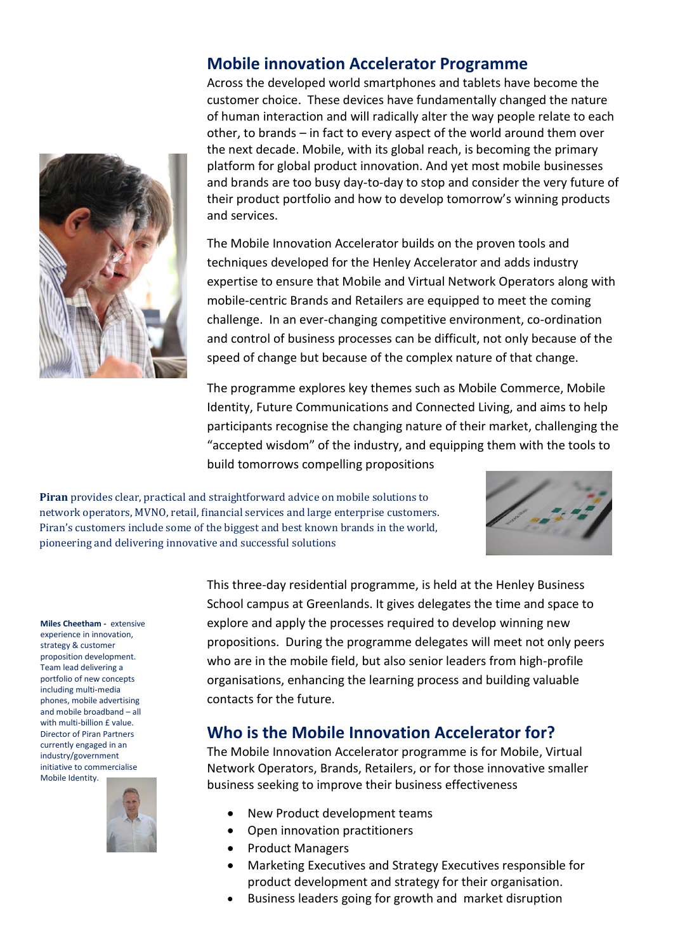#### **Mobile innovation Accelerator Programme**

Across the developed world smartphones and tablets have become the customer choice. These devices have fundamentally changed the nature of human interaction and will radically alter the way people relate to each other, to brands – in fact to every aspect of the world around them over the next decade. Mobile, with its global reach, is becoming the primary platform for global product innovation. And yet most mobile businesses and brands are too busy day-to-day to stop and consider the very future of their product portfolio and how to develop tomorrow's winning products and services.

The Mobile Innovation Accelerator builds on the proven tools and techniques developed for the Henley Accelerator and adds industry expertise to ensure that Mobile and Virtual Network Operators along with mobile-centric Brands and Retailers are equipped to meet the coming challenge. In an ever-changing competitive environment, co-ordination and control of business processes can be difficult, not only because of the speed of change but because of the complex nature of that change.

The programme explores key themes such as Mobile Commerce, Mobile Identity, Future Communications and Connected Living, and aims to help participants recognise the changing nature of their market, challenging the "accepted wisdom" of the industry, and equipping them with the tools to build tomorrows compelling propositions

**Piran** provides clear, practical and straightforward advice on mobile solutions to network operators, MVNO, retail, financial services and large enterprise customers. Piran's customers include some of the biggest and best known brands in the world, pioneering and delivering innovative and successful solutions



**Miles Cheetham -** extensive experience in innovation, strategy & customer proposition development. Team lead delivering a portfolio of new concepts including multi-media phones, mobile advertising and mobile broadband – all with multi-billion £ value. Director of Piran Partners currently engaged in an industry/government initiative to commercialise Mobile Identity.



This three-day residential programme, is held at the Henley Business School campus at Greenlands. It gives delegates the time and space to explore and apply the processes required to develop winning new propositions. During the programme delegates will meet not only peers who are in the mobile field, but also senior leaders from high-profile organisations, enhancing the learning process and building valuable contacts for the future.

## **Who is the Mobile Innovation Accelerator for?**

The Mobile Innovation Accelerator programme is for Mobile, Virtual Network Operators, Brands, Retailers, or for those innovative smaller business seeking to improve their business effectiveness

- New Product development teams
- Open innovation practitioners
- Product Managers
- Marketing Executives and Strategy Executives responsible for product development and strategy for their organisation.
- Business leaders going for growth and market disruption

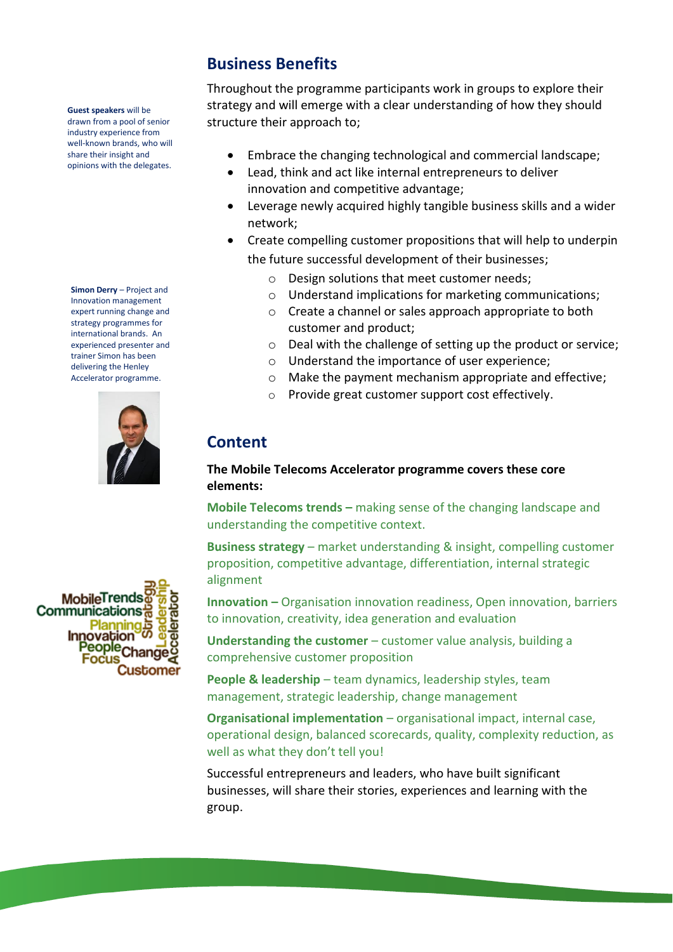**Guest speakers** will be drawn from a pool of senior industry experience from well-known brands, who will share their insight and opinions with the delegates.

**Simon Derry** – Project and Innovation management expert running change and strategy programmes for international brands. An experienced presenter and trainer Simon has been delivering the Henley Accelerator programme.



# **Business Benefits**

Throughout the programme participants work in groups to explore their strategy and will emerge with a clear understanding of how they should structure their approach to;

- Embrace the changing technological and commercial landscape;
- Lead, think and act like internal entrepreneurs to deliver innovation and competitive advantage;
- Leverage newly acquired highly tangible business skills and a wider network;
- Create compelling customer propositions that will help to underpin the future successful development of their businesses;
	- o Design solutions that meet customer needs;
	- o Understand implications for marketing communications;
	- o Create a channel or sales approach appropriate to both customer and product;
	- o Deal with the challenge of setting up the product or service;
	- o Understand the importance of user experience;
	- o Make the payment mechanism appropriate and effective;
	- o Provide great customer support cost effectively.

# **Content**

#### **The Mobile Telecoms Accelerator programme covers these core elements:**

**Mobile Telecoms trends –** making sense of the changing landscape and understanding the competitive context.

**Business strategy** – market understanding & insight, compelling customer proposition, competitive advantage, differentiation, internal strategic alignment

**Innovation –** Organisation innovation readiness, Open innovation, barriers to innovation, creativity, idea generation and evaluation

**Understanding the customer** – customer value analysis, building a comprehensive customer proposition

**People & leadership** – team dynamics, leadership styles, team management, strategic leadership, change management

**Organisational implementation** – organisational impact, internal case, operational design, balanced scorecards, quality, complexity reduction, as well as what they don't tell you!

Successful entrepreneurs and leaders, who have built significant businesses, will share their stories, experiences and learning with the group.